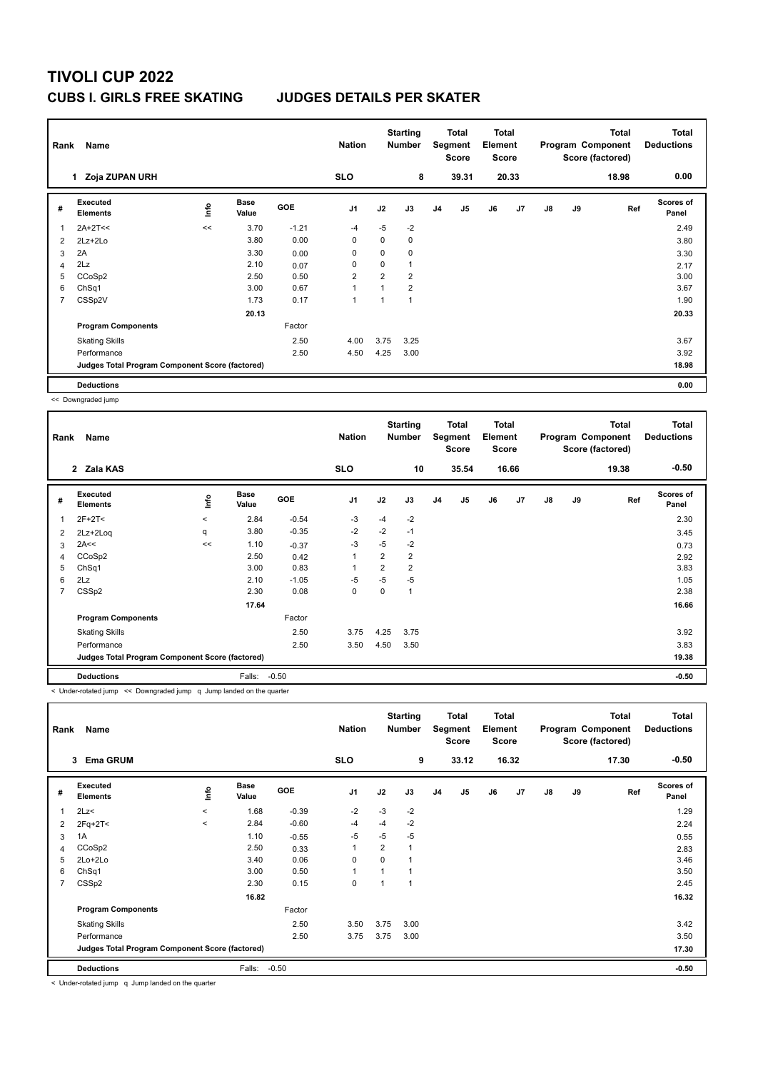| Rank | Name<br>1 Zoja ZUPAN URH                        |      |                      |         |                |                | <b>Starting</b><br><b>Number</b> |                | Total<br>Segment<br><b>Score</b> | <b>Total</b><br>Element<br><b>Score</b> |                |               |    | <b>Total</b><br>Program Component<br>Score (factored) | <b>Total</b><br><b>Deductions</b> |
|------|-------------------------------------------------|------|----------------------|---------|----------------|----------------|----------------------------------|----------------|----------------------------------|-----------------------------------------|----------------|---------------|----|-------------------------------------------------------|-----------------------------------|
|      |                                                 |      |                      |         | <b>SLO</b>     |                | 8                                |                | 39.31                            |                                         | 20.33          |               |    | 18.98                                                 | 0.00                              |
| #    | Executed<br><b>Elements</b>                     | lnfo | <b>Base</b><br>Value | GOE     | J <sub>1</sub> | J2             | J3                               | J <sub>4</sub> | J <sub>5</sub>                   | J6                                      | J <sub>7</sub> | $\mathsf{J}8$ | J9 | Ref                                                   | <b>Scores of</b><br>Panel         |
|      | $2A+2T<<$                                       | <<   | 3.70                 | $-1.21$ | -4             | $-5$           | $-2$                             |                |                                  |                                         |                |               |    |                                                       | 2.49                              |
| 2    | $2Lz+2Lo$                                       |      | 3.80                 | 0.00    | 0              | 0              | 0                                |                |                                  |                                         |                |               |    |                                                       | 3.80                              |
| 3    | 2A                                              |      | 3.30                 | 0.00    | 0              | 0              | 0                                |                |                                  |                                         |                |               |    |                                                       | 3.30                              |
| 4    | 2Lz                                             |      | 2.10                 | 0.07    | $\mathbf 0$    | $\Omega$       | 1                                |                |                                  |                                         |                |               |    |                                                       | 2.17                              |
| 5    | CCoSp2                                          |      | 2.50                 | 0.50    | $\overline{2}$ | $\overline{2}$ | $\overline{2}$                   |                |                                  |                                         |                |               |    |                                                       | 3.00                              |
| 6    | ChSq1                                           |      | 3.00                 | 0.67    | $\mathbf{1}$   |                | $\overline{2}$                   |                |                                  |                                         |                |               |    |                                                       | 3.67                              |
| 7    | CSSp2V                                          |      | 1.73                 | 0.17    | $\mathbf{1}$   |                | 1                                |                |                                  |                                         |                |               |    |                                                       | 1.90                              |
|      |                                                 |      | 20.13                |         |                |                |                                  |                |                                  |                                         |                |               |    |                                                       | 20.33                             |
|      | <b>Program Components</b>                       |      |                      | Factor  |                |                |                                  |                |                                  |                                         |                |               |    |                                                       |                                   |
|      | <b>Skating Skills</b>                           |      |                      | 2.50    | 4.00           | 3.75           | 3.25                             |                |                                  |                                         |                |               |    |                                                       | 3.67                              |
|      | Performance                                     |      |                      | 2.50    | 4.50           | 4.25           | 3.00                             |                |                                  |                                         |                |               |    |                                                       | 3.92                              |
|      | Judges Total Program Component Score (factored) |      |                      |         |                |                |                                  |                |                                  |                                         |                |               |    |                                                       | 18.98                             |
|      | <b>Deductions</b>                               |      |                      |         |                |                |                                  |                |                                  |                                         |                |               |    |                                                       | 0.00                              |

<< Downgraded jump

| Rank           | Name                                            |              | <b>Nation</b>        |            | <b>Starting</b><br><b>Number</b> |                | Total<br>Segment<br><b>Score</b> | <b>Total</b><br>Element<br><b>Score</b> |       |    |       | <b>Total</b><br>Program Component<br>Score (factored) | <b>Total</b><br><b>Deductions</b> |       |                           |
|----------------|-------------------------------------------------|--------------|----------------------|------------|----------------------------------|----------------|----------------------------------|-----------------------------------------|-------|----|-------|-------------------------------------------------------|-----------------------------------|-------|---------------------------|
|                | 2 Zala KAS                                      |              |                      |            | <b>SLO</b>                       |                | 10                               |                                         | 35.54 |    | 16.66 |                                                       |                                   | 19.38 | $-0.50$                   |
| #              | Executed<br><b>Elements</b>                     | ١m           | <b>Base</b><br>Value | <b>GOE</b> | J <sub>1</sub>                   | J2             | J3                               | J4                                      | J5    | J6 | J7    | $\mathsf{J}8$                                         | J9                                | Ref   | <b>Scores of</b><br>Panel |
| 1              | $2F+2T2$                                        | $\checkmark$ | 2.84                 | $-0.54$    | -3                               | $-4$           | $-2$                             |                                         |       |    |       |                                                       |                                   |       | 2.30                      |
| 2              | 2Lz+2Loq                                        | q            | 3.80                 | $-0.35$    | $-2$                             | $-2$           | $-1$                             |                                         |       |    |       |                                                       |                                   |       | 3.45                      |
| 3              | 2A<<                                            | <<           | 1.10                 | $-0.37$    | -3                               | $-5$           | $-2$                             |                                         |       |    |       |                                                       |                                   |       | 0.73                      |
| 4              | CCoSp2                                          |              | 2.50                 | 0.42       | $\mathbf{1}$                     | $\overline{2}$ | $\overline{2}$                   |                                         |       |    |       |                                                       |                                   |       | 2.92                      |
| 5              | ChSq1                                           |              | 3.00                 | 0.83       | $\overline{1}$                   | $\overline{2}$ | $\overline{2}$                   |                                         |       |    |       |                                                       |                                   |       | 3.83                      |
| 6              | 2Lz                                             |              | 2.10                 | $-1.05$    | -5                               | $-5$           | $-5$                             |                                         |       |    |       |                                                       |                                   |       | 1.05                      |
| $\overline{7}$ | CSS <sub>p2</sub>                               |              | 2.30                 | 0.08       | $\mathbf 0$                      | 0              | 1                                |                                         |       |    |       |                                                       |                                   |       | 2.38                      |
|                |                                                 |              | 17.64                |            |                                  |                |                                  |                                         |       |    |       |                                                       |                                   |       | 16.66                     |
|                | <b>Program Components</b>                       |              |                      | Factor     |                                  |                |                                  |                                         |       |    |       |                                                       |                                   |       |                           |
|                | <b>Skating Skills</b>                           |              |                      | 2.50       | 3.75                             | 4.25           | 3.75                             |                                         |       |    |       |                                                       |                                   |       | 3.92                      |
|                | Performance                                     |              |                      | 2.50       | 3.50                             | 4.50           | 3.50                             |                                         |       |    |       |                                                       |                                   |       | 3.83                      |
|                | Judges Total Program Component Score (factored) |              |                      |            |                                  |                |                                  |                                         |       |    |       |                                                       |                                   |       | 19.38                     |
|                | <b>Deductions</b>                               |              | Falls:               | $-0.50$    |                                  |                |                                  |                                         |       |    |       |                                                       |                                   |       | $-0.50$                   |

< Under-rotated jump << Downgraded jump q Jump landed on the quarter

|                | Rank<br>Name<br><b>Ema GRUM</b><br>3            |         |                      |         |                |             | <b>Starting</b><br><b>Number</b> |    | Total<br>Segment<br><b>Score</b> | <b>Total</b><br>Element<br><b>Score</b> |       |               |    | <b>Total</b><br>Program Component<br>Score (factored) | <b>Total</b><br><b>Deductions</b> |
|----------------|-------------------------------------------------|---------|----------------------|---------|----------------|-------------|----------------------------------|----|----------------------------------|-----------------------------------------|-------|---------------|----|-------------------------------------------------------|-----------------------------------|
|                |                                                 |         |                      |         | <b>SLO</b>     |             | 9                                |    | 33.12                            |                                         | 16.32 |               |    | 17.30                                                 | $-0.50$                           |
| #              | <b>Executed</b><br><b>Elements</b>              | ١nf٥    | <b>Base</b><br>Value | GOE     | J <sub>1</sub> | J2          | J3                               | J4 | J <sub>5</sub>                   | J6                                      | J7    | $\mathsf{J}8$ | J9 | Ref                                                   | Scores of<br>Panel                |
| $\overline{1}$ | 2Lz                                             | $\prec$ | 1.68                 | $-0.39$ | $-2$           | $-3$        | $-2$                             |    |                                  |                                         |       |               |    |                                                       | 1.29                              |
| 2              | $2Fq+2T<$                                       | $\prec$ | 2.84                 | $-0.60$ | -4             | $-4$        | $-2$                             |    |                                  |                                         |       |               |    |                                                       | 2.24                              |
| 3              | 1A                                              |         | 1.10                 | $-0.55$ | $-5$           | $-5$        | $-5$                             |    |                                  |                                         |       |               |    |                                                       | 0.55                              |
| $\overline{4}$ | CCoSp2                                          |         | 2.50                 | 0.33    | $\overline{1}$ | 2           | $\mathbf{1}$                     |    |                                  |                                         |       |               |    |                                                       | 2.83                              |
| 5              | 2Lo+2Lo                                         |         | 3.40                 | 0.06    | 0              | $\mathbf 0$ | 1                                |    |                                  |                                         |       |               |    |                                                       | 3.46                              |
| 6              | Ch <sub>Sq1</sub>                               |         | 3.00                 | 0.50    | 1              |             | 1                                |    |                                  |                                         |       |               |    |                                                       | 3.50                              |
| $\overline{7}$ | CSS <sub>p2</sub>                               |         | 2.30                 | 0.15    | 0              |             | $\mathbf 1$                      |    |                                  |                                         |       |               |    |                                                       | 2.45                              |
|                |                                                 |         | 16.82                |         |                |             |                                  |    |                                  |                                         |       |               |    |                                                       | 16.32                             |
|                | <b>Program Components</b>                       |         |                      | Factor  |                |             |                                  |    |                                  |                                         |       |               |    |                                                       |                                   |
|                | <b>Skating Skills</b>                           |         |                      | 2.50    | 3.50           | 3.75        | 3.00                             |    |                                  |                                         |       |               |    |                                                       | 3.42                              |
|                | Performance                                     |         |                      | 2.50    | 3.75           | 3.75        | 3.00                             |    |                                  |                                         |       |               |    |                                                       | 3.50                              |
|                | Judges Total Program Component Score (factored) |         |                      |         |                |             |                                  |    |                                  |                                         |       |               |    |                                                       | 17.30                             |
|                | <b>Deductions</b>                               |         | Falls:               | $-0.50$ |                |             |                                  |    |                                  |                                         |       |               |    |                                                       | $-0.50$                           |

< Under-rotated jump q Jump landed on the quarter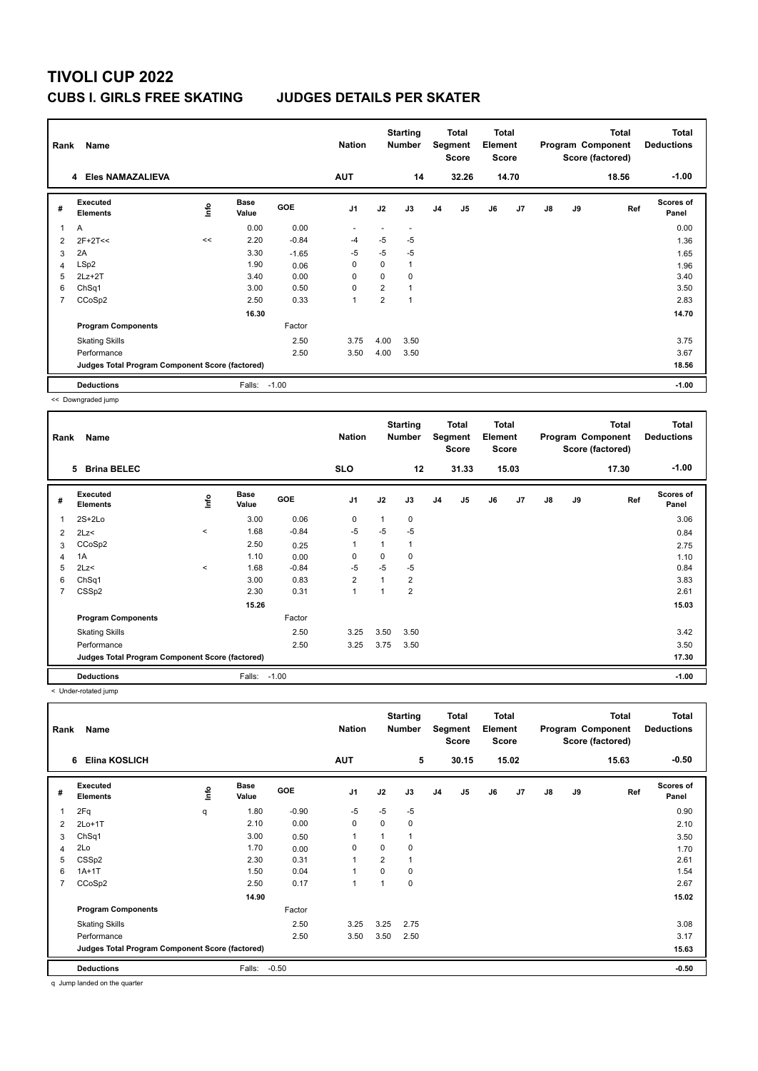| Rank | Name<br>4 Eles NAMAZALIEVA                      |      |                      |            | <b>Nation</b>            |                | <b>Starting</b><br><b>Number</b> |                | Total<br>Segment<br><b>Score</b> | <b>Total</b><br>Element<br><b>Score</b> |       |               |    | <b>Total</b><br>Program Component<br>Score (factored) | <b>Total</b><br><b>Deductions</b> |
|------|-------------------------------------------------|------|----------------------|------------|--------------------------|----------------|----------------------------------|----------------|----------------------------------|-----------------------------------------|-------|---------------|----|-------------------------------------------------------|-----------------------------------|
|      |                                                 |      |                      |            | <b>AUT</b>               |                | 14                               |                | 32.26                            |                                         | 14.70 |               |    | 18.56                                                 | $-1.00$                           |
| #    | Executed<br><b>Elements</b>                     | Info | <b>Base</b><br>Value | <b>GOE</b> | J <sub>1</sub>           | J2             | J3                               | J <sub>4</sub> | J <sub>5</sub>                   | J6                                      | J7    | $\mathsf{J}8$ | J9 | Ref                                                   | <b>Scores of</b><br>Panel         |
| 1    | Α                                               |      | 0.00                 | 0.00       | $\overline{\phantom{a}}$ | ٠              | $\overline{\phantom{a}}$         |                |                                  |                                         |       |               |    |                                                       | 0.00                              |
| 2    | $2F+2T<<$                                       | <<   | 2.20                 | $-0.84$    | -4                       | $-5$           | $-5$                             |                |                                  |                                         |       |               |    |                                                       | 1.36                              |
| 3    | 2A                                              |      | 3.30                 | $-1.65$    | $-5$                     | $-5$           | $-5$                             |                |                                  |                                         |       |               |    |                                                       | 1.65                              |
| 4    | LSp2                                            |      | 1.90                 | 0.06       | 0                        | $\Omega$       | $\mathbf{1}$                     |                |                                  |                                         |       |               |    |                                                       | 1.96                              |
| 5    | $2Lz + 2T$                                      |      | 3.40                 | 0.00       | 0                        | 0              | 0                                |                |                                  |                                         |       |               |    |                                                       | 3.40                              |
| 6    | Ch <sub>Sq1</sub>                               |      | 3.00                 | 0.50       | 0                        | $\overline{2}$ | $\mathbf{1}$                     |                |                                  |                                         |       |               |    |                                                       | 3.50                              |
| 7    | CCoSp2                                          |      | 2.50                 | 0.33       | $\overline{1}$           | 2              | $\mathbf{1}$                     |                |                                  |                                         |       |               |    |                                                       | 2.83                              |
|      |                                                 |      | 16.30                |            |                          |                |                                  |                |                                  |                                         |       |               |    |                                                       | 14.70                             |
|      | <b>Program Components</b>                       |      |                      | Factor     |                          |                |                                  |                |                                  |                                         |       |               |    |                                                       |                                   |
|      | <b>Skating Skills</b>                           |      |                      | 2.50       | 3.75                     | 4.00           | 3.50                             |                |                                  |                                         |       |               |    |                                                       | 3.75                              |
|      | Performance                                     |      |                      | 2.50       | 3.50                     | 4.00           | 3.50                             |                |                                  |                                         |       |               |    |                                                       | 3.67                              |
|      | Judges Total Program Component Score (factored) |      |                      |            |                          |                |                                  |                |                                  |                                         |       |               |    |                                                       | 18.56                             |
|      | <b>Deductions</b>                               |      | Falls:               | $-1.00$    |                          |                |                                  |                |                                  |                                         |       |               |    |                                                       | $-1.00$                           |

<< Downgraded jump

| Rank           | Name                                            |       | <b>Nation</b>        |            | <b>Starting</b><br><b>Number</b> |      | Total<br>Segment<br><b>Score</b> | Total<br>Element<br><b>Score</b> |                |    |       | <b>Total</b><br>Program Component<br>Score (factored) | <b>Total</b><br><b>Deductions</b> |       |                           |
|----------------|-------------------------------------------------|-------|----------------------|------------|----------------------------------|------|----------------------------------|----------------------------------|----------------|----|-------|-------------------------------------------------------|-----------------------------------|-------|---------------------------|
|                | 5<br><b>Brina BELEC</b>                         |       |                      |            | <b>SLO</b>                       |      | 12                               |                                  | 31.33          |    | 15.03 |                                                       |                                   | 17.30 | $-1.00$                   |
| #              | <b>Executed</b><br><b>Elements</b>              | ١m    | <b>Base</b><br>Value | <b>GOE</b> | J <sub>1</sub>                   | J2   | J3                               | J <sub>4</sub>                   | J <sub>5</sub> | J6 | J7    | J8                                                    | J9                                | Ref   | <b>Scores of</b><br>Panel |
| 1              | $2S+2Lo$                                        |       | 3.00                 | 0.06       | $\Omega$                         | 1    | 0                                |                                  |                |    |       |                                                       |                                   |       | 3.06                      |
| $\overline{2}$ | 2Lz<                                            | $\,<$ | 1.68                 | $-0.84$    | $-5$                             | $-5$ | $-5$                             |                                  |                |    |       |                                                       |                                   |       | 0.84                      |
| 3              | CCoSp2                                          |       | 2.50                 | 0.25       | -1                               | 1    | 1                                |                                  |                |    |       |                                                       |                                   |       | 2.75                      |
| 4              | 1A                                              |       | 1.10                 | 0.00       | $\mathbf 0$                      | 0    | 0                                |                                  |                |    |       |                                                       |                                   |       | 1.10                      |
| 5              | 2Lz<                                            | $\,<$ | 1.68                 | $-0.84$    | $-5$                             | $-5$ | $-5$                             |                                  |                |    |       |                                                       |                                   |       | 0.84                      |
| 6              | ChSq1                                           |       | 3.00                 | 0.83       | $\overline{2}$                   |      | $\overline{2}$                   |                                  |                |    |       |                                                       |                                   |       | 3.83                      |
| 7              | CSSp2                                           |       | 2.30                 | 0.31       | $\mathbf{1}$                     |      | $\overline{2}$                   |                                  |                |    |       |                                                       |                                   |       | 2.61                      |
|                |                                                 |       | 15.26                |            |                                  |      |                                  |                                  |                |    |       |                                                       |                                   |       | 15.03                     |
|                | <b>Program Components</b>                       |       |                      | Factor     |                                  |      |                                  |                                  |                |    |       |                                                       |                                   |       |                           |
|                | <b>Skating Skills</b>                           |       |                      | 2.50       | 3.25                             | 3.50 | 3.50                             |                                  |                |    |       |                                                       |                                   |       | 3.42                      |
|                | Performance                                     |       |                      | 2.50       | 3.25                             | 3.75 | 3.50                             |                                  |                |    |       |                                                       |                                   |       | 3.50                      |
|                | Judges Total Program Component Score (factored) |       |                      |            |                                  |      |                                  |                                  |                |    |       |                                                       |                                   |       | 17.30                     |
|                | <b>Deductions</b>                               |       | Falls:               | $-1.00$    |                                  |      |                                  |                                  |                |    |       |                                                       |                                   |       | $-1.00$                   |

< Under-rotated jump

| Rank           | Name<br>Elina KOSLICH<br>6                      |      |               |            |                |                | <b>Starting</b><br><b>Number</b> |    | <b>Total</b><br>Segment<br><b>Score</b> | <b>Total</b><br>Element<br><b>Score</b> |                |               |    | <b>Total</b><br>Program Component<br>Score (factored) | <b>Total</b><br><b>Deductions</b> |
|----------------|-------------------------------------------------|------|---------------|------------|----------------|----------------|----------------------------------|----|-----------------------------------------|-----------------------------------------|----------------|---------------|----|-------------------------------------------------------|-----------------------------------|
|                |                                                 |      |               |            | <b>AUT</b>     |                | 5                                |    | 30.15                                   |                                         | 15.02          |               |    | 15.63                                                 | $-0.50$                           |
| #              | Executed<br><b>Elements</b>                     | lnfo | Base<br>Value | <b>GOE</b> | J <sub>1</sub> | J2             | J3                               | J4 | J5                                      | J6                                      | J <sub>7</sub> | $\mathsf{J}8$ | J9 | Ref                                                   | <b>Scores of</b><br>Panel         |
| 1              | 2Fq                                             | q    | 1.80          | $-0.90$    | $-5$           | $-5$           | $-5$                             |    |                                         |                                         |                |               |    |                                                       | 0.90                              |
| 2              | $2Lo+1T$                                        |      | 2.10          | 0.00       | $\mathbf 0$    | 0              | 0                                |    |                                         |                                         |                |               |    |                                                       | 2.10                              |
| 3              | ChSq1                                           |      | 3.00          | 0.50       | $\overline{1}$ |                | 1                                |    |                                         |                                         |                |               |    |                                                       | 3.50                              |
| 4              | 2Lo                                             |      | 1.70          | 0.00       | 0              | $\Omega$       | 0                                |    |                                         |                                         |                |               |    |                                                       | 1.70                              |
| 5              | CSS <sub>p2</sub>                               |      | 2.30          | 0.31       | $\mathbf{1}$   | $\overline{2}$ | 1                                |    |                                         |                                         |                |               |    |                                                       | 2.61                              |
| 6              | $1A+1T$                                         |      | 1.50          | 0.04       | $\mathbf{1}$   | $\Omega$       | 0                                |    |                                         |                                         |                |               |    |                                                       | 1.54                              |
| $\overline{7}$ | CCoSp2                                          |      | 2.50          | 0.17       | $\mathbf{1}$   |                | 0                                |    |                                         |                                         |                |               |    |                                                       | 2.67                              |
|                |                                                 |      | 14.90         |            |                |                |                                  |    |                                         |                                         |                |               |    |                                                       | 15.02                             |
|                | <b>Program Components</b>                       |      |               | Factor     |                |                |                                  |    |                                         |                                         |                |               |    |                                                       |                                   |
|                | <b>Skating Skills</b>                           |      |               | 2.50       | 3.25           | 3.25           | 2.75                             |    |                                         |                                         |                |               |    |                                                       | 3.08                              |
|                | Performance                                     |      |               | 2.50       | 3.50           | 3.50           | 2.50                             |    |                                         |                                         |                |               |    |                                                       | 3.17                              |
|                | Judges Total Program Component Score (factored) |      |               |            |                |                |                                  |    |                                         |                                         |                |               |    |                                                       | 15.63                             |
|                | <b>Deductions</b>                               |      | Falls:        | $-0.50$    |                |                |                                  |    |                                         |                                         |                |               |    |                                                       | $-0.50$                           |

q Jump landed on the quarter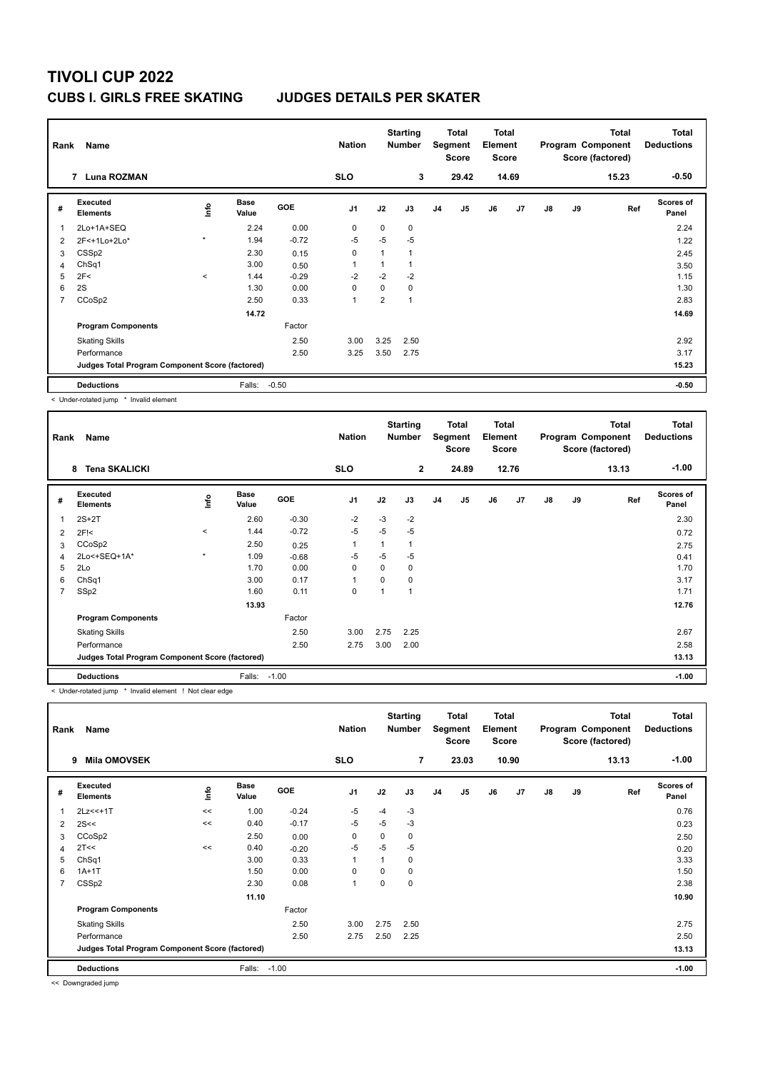| Rank | Name                                            |         | <b>Nation</b>        |            | <b>Starting</b><br><b>Number</b> |                | Total<br>Segment<br><b>Score</b> | <b>Total</b><br>Element<br><b>Score</b> |                |    |       | <b>Total</b><br>Program Component<br>Score (factored) | <b>Total</b><br><b>Deductions</b> |       |                           |
|------|-------------------------------------------------|---------|----------------------|------------|----------------------------------|----------------|----------------------------------|-----------------------------------------|----------------|----|-------|-------------------------------------------------------|-----------------------------------|-------|---------------------------|
|      | 7 Luna ROZMAN                                   |         |                      |            | <b>SLO</b>                       |                | 3                                |                                         | 29.42          |    | 14.69 |                                                       |                                   | 15.23 | $-0.50$                   |
| #    | Executed<br><b>Elements</b>                     | Info    | <b>Base</b><br>Value | <b>GOE</b> | J <sub>1</sub>                   | J2             | J3                               | J <sub>4</sub>                          | J <sub>5</sub> | J6 | J7    | $\mathsf{J}8$                                         | J9                                | Ref   | <b>Scores of</b><br>Panel |
|      | 2Lo+1A+SEQ                                      |         | 2.24                 | 0.00       | 0                                | 0              | 0                                |                                         |                |    |       |                                                       |                                   |       | 2.24                      |
| 2    | 2F<+1Lo+2Lo*                                    | $\star$ | 1.94                 | $-0.72$    | $-5$                             | $-5$           | $-5$                             |                                         |                |    |       |                                                       |                                   |       | 1.22                      |
| 3    | CSS <sub>p2</sub>                               |         | 2.30                 | 0.15       | 0                                | 1              |                                  |                                         |                |    |       |                                                       |                                   |       | 2.45                      |
| 4    | Ch <sub>Sq1</sub>                               |         | 3.00                 | 0.50       |                                  | 1              |                                  |                                         |                |    |       |                                                       |                                   |       | 3.50                      |
| 5    | 2F<                                             | $\prec$ | 1.44                 | $-0.29$    | $-2$                             | $-2$           | $-2$                             |                                         |                |    |       |                                                       |                                   |       | 1.15                      |
| 6    | 2S                                              |         | 1.30                 | 0.00       | $\mathbf 0$                      | $\Omega$       | 0                                |                                         |                |    |       |                                                       |                                   |       | 1.30                      |
| 7    | CCoSp2                                          |         | 2.50                 | 0.33       | $\overline{1}$                   | $\overline{2}$ | 1                                |                                         |                |    |       |                                                       |                                   |       | 2.83                      |
|      |                                                 |         | 14.72                |            |                                  |                |                                  |                                         |                |    |       |                                                       |                                   |       | 14.69                     |
|      | <b>Program Components</b>                       |         |                      | Factor     |                                  |                |                                  |                                         |                |    |       |                                                       |                                   |       |                           |
|      | <b>Skating Skills</b>                           |         |                      | 2.50       | 3.00                             | 3.25           | 2.50                             |                                         |                |    |       |                                                       |                                   |       | 2.92                      |
|      | Performance                                     |         |                      | 2.50       | 3.25                             | 3.50           | 2.75                             |                                         |                |    |       |                                                       |                                   |       | 3.17                      |
|      | Judges Total Program Component Score (factored) |         |                      |            |                                  |                |                                  |                                         |                |    |       |                                                       |                                   |       | 15.23                     |
|      | <b>Deductions</b>                               |         | Falls:               | $-0.50$    |                                  |                |                                  |                                         |                |    |       |                                                       |                                   |       | $-0.50$                   |

< Under-rotated jump \* Invalid element

| Rank           | Name                                            |         |                      |            | <b>Nation</b>  |          | <b>Starting</b><br><b>Number</b> |                | Total<br>Segment<br>Score | <b>Total</b><br>Element<br><b>Score</b> |       |               |    | <b>Total</b><br>Program Component<br>Score (factored) | <b>Total</b><br><b>Deductions</b> |
|----------------|-------------------------------------------------|---------|----------------------|------------|----------------|----------|----------------------------------|----------------|---------------------------|-----------------------------------------|-------|---------------|----|-------------------------------------------------------|-----------------------------------|
|                | <b>Tena SKALICKI</b><br>8                       |         |                      |            | <b>SLO</b>     |          | $\overline{2}$                   |                | 24.89                     |                                         | 12.76 |               |    | 13.13                                                 | $-1.00$                           |
| #              | <b>Executed</b><br><b>Elements</b>              | ١m      | <b>Base</b><br>Value | <b>GOE</b> | J <sub>1</sub> | J2       | J3                               | J <sub>4</sub> | J <sub>5</sub>            | J6                                      | J7    | $\mathsf{J}8$ | J9 | Ref                                                   | Scores of<br>Panel                |
| 1              | $2S+2T$                                         |         | 2.60                 | $-0.30$    | $-2$           | $-3$     | $-2$                             |                |                           |                                         |       |               |    |                                                       | 2.30                              |
| $\overline{2}$ | 2F!<                                            | $\,<$   | 1.44                 | $-0.72$    | $-5$           | $-5$     | $-5$                             |                |                           |                                         |       |               |    |                                                       | 0.72                              |
| 3              | CCoSp2                                          |         | 2.50                 | 0.25       | 1              |          | 1                                |                |                           |                                         |       |               |    |                                                       | 2.75                              |
| 4              | 2Lo<+SEQ+1A*                                    | $\star$ | 1.09                 | $-0.68$    | -5             | $-5$     | $-5$                             |                |                           |                                         |       |               |    |                                                       | 0.41                              |
| 5              | 2Lo                                             |         | 1.70                 | 0.00       | 0              | $\Omega$ | 0                                |                |                           |                                         |       |               |    |                                                       | 1.70                              |
| 6              | Ch <sub>Sq1</sub>                               |         | 3.00                 | 0.17       | $\mathbf{1}$   | $\Omega$ | 0                                |                |                           |                                         |       |               |    |                                                       | 3.17                              |
| 7              | SSp2                                            |         | 1.60                 | 0.11       | 0              |          |                                  |                |                           |                                         |       |               |    |                                                       | 1.71                              |
|                |                                                 |         | 13.93                |            |                |          |                                  |                |                           |                                         |       |               |    |                                                       | 12.76                             |
|                | <b>Program Components</b>                       |         |                      | Factor     |                |          |                                  |                |                           |                                         |       |               |    |                                                       |                                   |
|                | <b>Skating Skills</b>                           |         |                      | 2.50       | 3.00           | 2.75     | 2.25                             |                |                           |                                         |       |               |    |                                                       | 2.67                              |
|                | Performance                                     |         |                      | 2.50       | 2.75           | 3.00     | 2.00                             |                |                           |                                         |       |               |    |                                                       | 2.58                              |
|                | Judges Total Program Component Score (factored) |         |                      |            |                |          |                                  |                |                           |                                         |       |               |    |                                                       | 13.13                             |
|                | <b>Deductions</b>                               |         | Falls:               | $-1.00$    |                |          |                                  |                |                           |                                         |       |               |    |                                                       | $-1.00$                           |

< Under-rotated jump \* Invalid element ! Not clear edge

| Rank                    | Name                                            |      |                      |            | <b>Nation</b>  |          | <b>Starting</b><br><b>Number</b> |                | Total<br>Segment<br><b>Score</b> | <b>Total</b><br>Element<br><b>Score</b> |       |               |    | Total<br>Program Component<br>Score (factored) | Total<br><b>Deductions</b> |
|-------------------------|-------------------------------------------------|------|----------------------|------------|----------------|----------|----------------------------------|----------------|----------------------------------|-----------------------------------------|-------|---------------|----|------------------------------------------------|----------------------------|
|                         | <b>Mila OMOVSEK</b><br>9                        |      |                      |            | <b>SLO</b>     |          | 7                                |                | 23.03                            |                                         | 10.90 |               |    | 13.13                                          | $-1.00$                    |
| #                       | <b>Executed</b><br><b>Elements</b>              | lnfo | <b>Base</b><br>Value | <b>GOE</b> | J <sub>1</sub> | J2       | J3                               | J <sub>4</sub> | J5                               | J6                                      | J7    | $\mathsf{J}8$ | J9 | Ref                                            | Scores of<br>Panel         |
| $\overline{\mathbf{1}}$ | 2Lz << + 1T                                     | <<   | 1.00                 | $-0.24$    | $-5$           | $-4$     | $-3$                             |                |                                  |                                         |       |               |    |                                                | 0.76                       |
| 2                       | 2S<<                                            | <<   | 0.40                 | $-0.17$    | -5             | $-5$     | $-3$                             |                |                                  |                                         |       |               |    |                                                | 0.23                       |
| 3                       | CCoSp2                                          |      | 2.50                 | 0.00       | 0              | 0        | 0                                |                |                                  |                                         |       |               |    |                                                | 2.50                       |
| 4                       | 2T<<                                            | <<   | 0.40                 | $-0.20$    | $-5$           | $-5$     | $-5$                             |                |                                  |                                         |       |               |    |                                                | 0.20                       |
| 5                       | ChSq1                                           |      | 3.00                 | 0.33       | $\overline{1}$ | 1        | 0                                |                |                                  |                                         |       |               |    |                                                | 3.33                       |
| 6                       | $1A+1T$                                         |      | 1.50                 | 0.00       | $\mathbf 0$    | $\Omega$ | 0                                |                |                                  |                                         |       |               |    |                                                | 1.50                       |
| $\overline{7}$          | CSS <sub>p2</sub>                               |      | 2.30                 | 0.08       | $\overline{1}$ | 0        | 0                                |                |                                  |                                         |       |               |    |                                                | 2.38                       |
|                         |                                                 |      | 11.10                |            |                |          |                                  |                |                                  |                                         |       |               |    |                                                | 10.90                      |
|                         | <b>Program Components</b>                       |      |                      | Factor     |                |          |                                  |                |                                  |                                         |       |               |    |                                                |                            |
|                         | <b>Skating Skills</b>                           |      |                      | 2.50       | 3.00           | 2.75     | 2.50                             |                |                                  |                                         |       |               |    |                                                | 2.75                       |
|                         | Performance                                     |      |                      | 2.50       | 2.75           | 2.50     | 2.25                             |                |                                  |                                         |       |               |    |                                                | 2.50                       |
|                         | Judges Total Program Component Score (factored) |      |                      |            |                |          |                                  |                |                                  |                                         |       |               |    |                                                | 13.13                      |
|                         | <b>Deductions</b>                               |      | Falls:               | $-1.00$    |                |          |                                  |                |                                  |                                         |       |               |    |                                                | $-1.00$                    |

<< Downgraded jump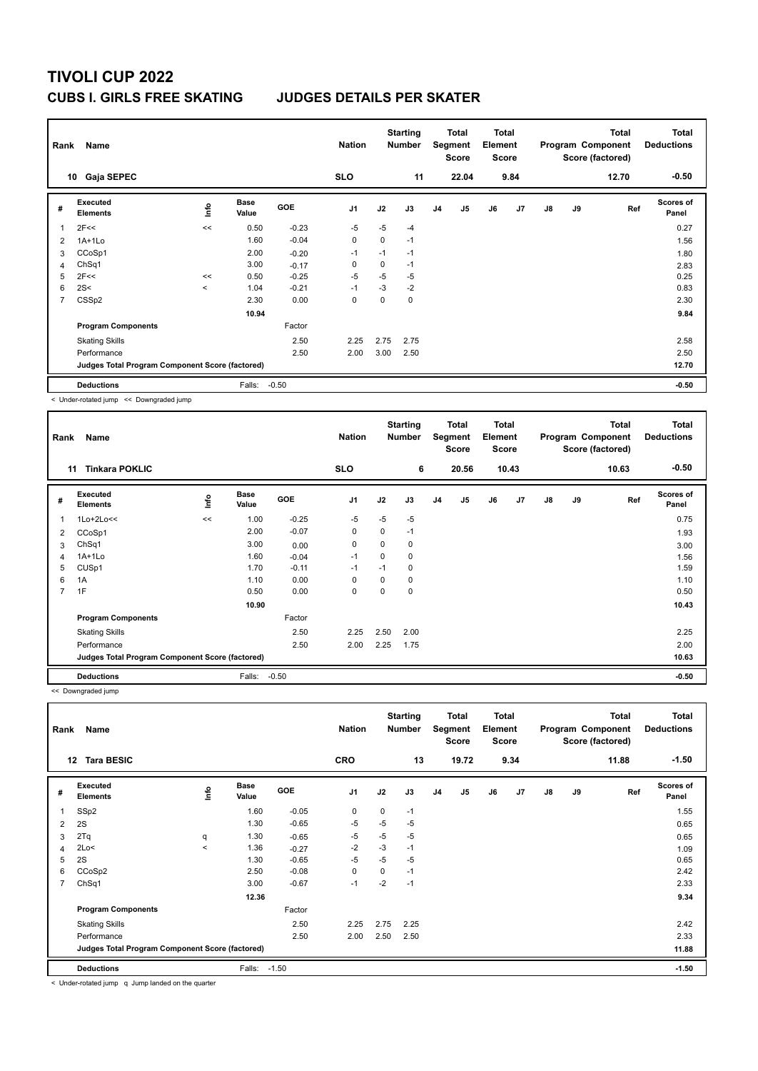| Rank                    | Name                                            |         | <b>Nation</b>        |            | <b>Starting</b><br><b>Number</b> |          | Total<br>Segment<br><b>Score</b> | Total<br>Element<br><b>Score</b> |                |    |      | <b>Total</b><br>Program Component<br>Score (factored) | Total<br><b>Deductions</b> |       |                           |
|-------------------------|-------------------------------------------------|---------|----------------------|------------|----------------------------------|----------|----------------------------------|----------------------------------|----------------|----|------|-------------------------------------------------------|----------------------------|-------|---------------------------|
|                         | Gaja SEPEC<br>10                                |         |                      |            | <b>SLO</b>                       |          | 11                               |                                  | 22.04          |    | 9.84 |                                                       |                            | 12.70 | $-0.50$                   |
| #                       | Executed<br><b>Elements</b>                     | ١nfo    | <b>Base</b><br>Value | <b>GOE</b> | J <sub>1</sub>                   | J2       | J3                               | J <sub>4</sub>                   | J <sub>5</sub> | J6 | J7   | $\mathsf{J}8$                                         | J9                         | Ref   | <b>Scores of</b><br>Panel |
| $\overline{\mathbf{1}}$ | 2F<<                                            | <<      | 0.50                 | $-0.23$    | $-5$                             | $-5$     | $-4$                             |                                  |                |    |      |                                                       |                            |       | 0.27                      |
| 2                       | $1A+1Lo$                                        |         | 1.60                 | $-0.04$    | $\mathbf 0$                      | 0        | $-1$                             |                                  |                |    |      |                                                       |                            |       | 1.56                      |
| 3                       | CCoSp1                                          |         | 2.00                 | $-0.20$    | $-1$                             | $-1$     | $-1$                             |                                  |                |    |      |                                                       |                            |       | 1.80                      |
| 4                       | ChSq1                                           |         | 3.00                 | $-0.17$    | $\Omega$                         | 0        | $-1$                             |                                  |                |    |      |                                                       |                            |       | 2.83                      |
| 5                       | 2F<<                                            | <<      | 0.50                 | $-0.25$    | $-5$                             | $-5$     | $-5$                             |                                  |                |    |      |                                                       |                            |       | 0.25                      |
| 6                       | 2S<                                             | $\prec$ | 1.04                 | $-0.21$    | $-1$                             | $-3$     | $-2$                             |                                  |                |    |      |                                                       |                            |       | 0.83                      |
| $\overline{7}$          | CSS <sub>p2</sub>                               |         | 2.30                 | 0.00       | 0                                | $\Omega$ | $\mathbf 0$                      |                                  |                |    |      |                                                       |                            |       | 2.30                      |
|                         |                                                 |         | 10.94                |            |                                  |          |                                  |                                  |                |    |      |                                                       |                            |       | 9.84                      |
|                         | <b>Program Components</b>                       |         |                      | Factor     |                                  |          |                                  |                                  |                |    |      |                                                       |                            |       |                           |
|                         | <b>Skating Skills</b>                           |         |                      | 2.50       | 2.25                             | 2.75     | 2.75                             |                                  |                |    |      |                                                       |                            |       | 2.58                      |
|                         | Performance                                     |         |                      | 2.50       | 2.00                             | 3.00     | 2.50                             |                                  |                |    |      |                                                       |                            |       | 2.50                      |
|                         | Judges Total Program Component Score (factored) |         |                      |            |                                  |          |                                  |                                  |                |    |      |                                                       |                            |       | 12.70                     |
|                         | <b>Deductions</b>                               |         | Falls:               | $-0.50$    |                                  |          |                                  |                                  |                |    |      |                                                       |                            |       | $-0.50$                   |

< Under-rotated jump << Downgraded jump

| Rank           | Name                                            |    |                      |            | <b>Nation</b> |      | <b>Starting</b><br><b>Number</b> |                | Total<br>Segment<br><b>Score</b> | Total<br>Element<br><b>Score</b> |       |    |    | <b>Total</b><br>Program Component<br>Score (factored) | <b>Total</b><br><b>Deductions</b> |
|----------------|-------------------------------------------------|----|----------------------|------------|---------------|------|----------------------------------|----------------|----------------------------------|----------------------------------|-------|----|----|-------------------------------------------------------|-----------------------------------|
|                | <b>Tinkara POKLIC</b><br>11                     |    |                      |            | <b>SLO</b>    |      | 6                                |                | 20.56                            |                                  | 10.43 |    |    | 10.63                                                 | $-0.50$                           |
| #              | Executed<br><b>Elements</b>                     | ١m | <b>Base</b><br>Value | <b>GOE</b> | J1            | J2   | J3                               | J <sub>4</sub> | J <sub>5</sub>                   | J6                               | J7    | J8 | J9 | Ref                                                   | Scores of<br>Panel                |
|                | $1$ Lo+ $2$ Lo<<                                | << | 1.00                 | $-0.25$    | $-5$          | $-5$ | $-5$                             |                |                                  |                                  |       |    |    |                                                       | 0.75                              |
| 2              | CCoSp1                                          |    | 2.00                 | $-0.07$    | 0             | 0    | $-1$                             |                |                                  |                                  |       |    |    |                                                       | 1.93                              |
| 3              | ChSq1                                           |    | 3.00                 | 0.00       | 0             | 0    | 0                                |                |                                  |                                  |       |    |    |                                                       | 3.00                              |
| 4              | $1A+1L0$                                        |    | 1.60                 | $-0.04$    | $-1$          | 0    | 0                                |                |                                  |                                  |       |    |    |                                                       | 1.56                              |
| 5              | CUSp1                                           |    | 1.70                 | $-0.11$    | $-1$          | $-1$ | 0                                |                |                                  |                                  |       |    |    |                                                       | 1.59                              |
| 6              | 1A                                              |    | 1.10                 | 0.00       | 0             | 0    | 0                                |                |                                  |                                  |       |    |    |                                                       | 1.10                              |
| $\overline{7}$ | 1F                                              |    | 0.50                 | 0.00       | 0             | 0    | 0                                |                |                                  |                                  |       |    |    |                                                       | 0.50                              |
|                |                                                 |    | 10.90                |            |               |      |                                  |                |                                  |                                  |       |    |    |                                                       | 10.43                             |
|                | <b>Program Components</b>                       |    |                      | Factor     |               |      |                                  |                |                                  |                                  |       |    |    |                                                       |                                   |
|                | <b>Skating Skills</b>                           |    |                      | 2.50       | 2.25          | 2.50 | 2.00                             |                |                                  |                                  |       |    |    |                                                       | 2.25                              |
|                | Performance                                     |    |                      | 2.50       | 2.00          | 2.25 | 1.75                             |                |                                  |                                  |       |    |    |                                                       | 2.00                              |
|                | Judges Total Program Component Score (factored) |    |                      |            |               |      |                                  |                |                                  |                                  |       |    |    |                                                       | 10.63                             |
|                | <b>Deductions</b>                               |    | Falls:               | $-0.50$    |               |      |                                  |                |                                  |                                  |       |    |    |                                                       | $-0.50$                           |

<< Downgraded jump

| Rank           | Name                                            |         | <b>Nation</b>        |         | <b>Starting</b><br><b>Number</b> |             | Total<br>Segment<br><b>Score</b> | <b>Total</b><br>Element<br><b>Score</b> |                |    |      | <b>Total</b><br>Program Component<br>Score (factored) | <b>Total</b><br><b>Deductions</b> |       |                    |
|----------------|-------------------------------------------------|---------|----------------------|---------|----------------------------------|-------------|----------------------------------|-----------------------------------------|----------------|----|------|-------------------------------------------------------|-----------------------------------|-------|--------------------|
|                | <b>Tara BESIC</b><br>12                         |         |                      |         | <b>CRO</b>                       |             | 13                               |                                         | 19.72          |    | 9.34 |                                                       |                                   | 11.88 | $-1.50$            |
| #              | <b>Executed</b><br><b>Elements</b>              | ١nf٥    | <b>Base</b><br>Value | GOE     | J <sub>1</sub>                   | J2          | J3                               | J4                                      | J <sub>5</sub> | J6 | J7   | $\mathsf{J}8$                                         | J9                                | Ref   | Scores of<br>Panel |
| $\overline{1}$ | SSp2                                            |         | 1.60                 | $-0.05$ | $\mathbf 0$                      | $\mathbf 0$ | $-1$                             |                                         |                |    |      |                                                       |                                   |       | 1.55               |
| 2              | 2S                                              |         | 1.30                 | $-0.65$ | $-5$                             | $-5$        | $-5$                             |                                         |                |    |      |                                                       |                                   |       | 0.65               |
| 3              | 2Tq                                             | q       | 1.30                 | $-0.65$ | $-5$                             | $-5$        | $-5$                             |                                         |                |    |      |                                                       |                                   |       | 0.65               |
| $\overline{4}$ | 2Lo<                                            | $\prec$ | 1.36                 | $-0.27$ | $-2$                             | $-3$        | $-1$                             |                                         |                |    |      |                                                       |                                   |       | 1.09               |
| 5              | 2S                                              |         | 1.30                 | $-0.65$ | $-5$                             | $-5$        | $-5$                             |                                         |                |    |      |                                                       |                                   |       | 0.65               |
| 6              | CCoSp2                                          |         | 2.50                 | $-0.08$ | 0                                | 0           | $-1$                             |                                         |                |    |      |                                                       |                                   |       | 2.42               |
| $\overline{7}$ | ChSq1                                           |         | 3.00                 | $-0.67$ | $-1$                             | $-2$        | $-1$                             |                                         |                |    |      |                                                       |                                   |       | 2.33               |
|                |                                                 |         | 12.36                |         |                                  |             |                                  |                                         |                |    |      |                                                       |                                   |       | 9.34               |
|                | <b>Program Components</b>                       |         |                      | Factor  |                                  |             |                                  |                                         |                |    |      |                                                       |                                   |       |                    |
|                | <b>Skating Skills</b>                           |         |                      | 2.50    | 2.25                             | 2.75        | 2.25                             |                                         |                |    |      |                                                       |                                   |       | 2.42               |
|                | Performance                                     |         |                      | 2.50    | 2.00                             | 2.50        | 2.50                             |                                         |                |    |      |                                                       |                                   |       | 2.33               |
|                | Judges Total Program Component Score (factored) |         |                      |         |                                  |             |                                  |                                         |                |    |      |                                                       |                                   |       | 11.88              |
|                | <b>Deductions</b>                               |         | Falls:               | $-1.50$ |                                  |             |                                  |                                         |                |    |      |                                                       |                                   |       | $-1.50$            |

< Under-rotated jump q Jump landed on the quarter